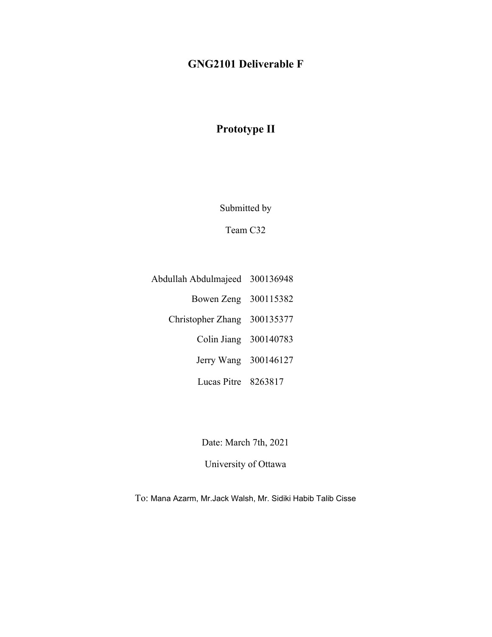# **GNG2101 Deliverable F**

# **Prototype II**

Submitted by

Team C32

- Abdullah Abdulmajeed 300136948 Bowen Zeng 300115382 Christopher Zhang 300135377 Colin Jiang 300140783
	- Jerry Wang 300146127
	- Lucas Pitre 8263817

Date: March 7th, 2021

University of Ottawa

To: Mana Azarm, Mr.Jack Walsh, Mr. Sidiki Habib Talib Cisse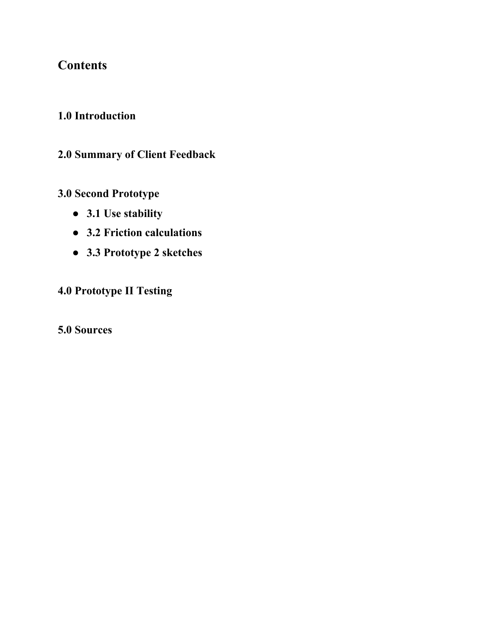# **Contents**

# **1.0 Introduction**

# **2.0 Summary of Client Feedback**

# **3.0 Second Prototype**

- **● 3.1 Use stability**
- **● 3.2 Friction calculations**
- **● 3.3 Prototype 2 sketches**

# **4.0 Prototype II Testing**

# **5.0 Sources**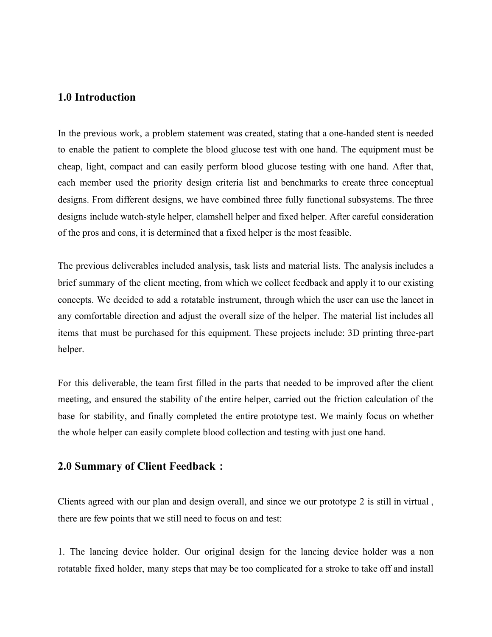### **1.0 Introduction**

In the previous work, a problem statement was created, stating that a one-handed stent is needed to enable the patient to complete the blood glucose test with one hand. The equipment must be cheap, light, compact and can easily perform blood glucose testing with one hand. After that, each member used the priority design criteria list and benchmarks to create three conceptual designs. From different designs, we have combined three fully functional subsystems. The three designs include watch-style helper, clamshell helper and fixed helper. After careful consideration of the pros and cons, it is determined that a fixed helper is the most feasible.

The previous deliverables included analysis, task lists and material lists. The analysis includes a brief summary of the client meeting, from which we collect feedback and apply it to our existing concepts. We decided to add a rotatable instrument, through which the user can use the lancet in any comfortable direction and adjust the overall size of the helper. The material list includes all items that must be purchased for this equipment. These projects include: 3D printing three-part helper.

For this deliverable, the team first filled in the parts that needed to be improved after the client meeting, and ensured the stability of the entire helper, carried out the friction calculation of the base for stability, and finally completed the entire prototype test. We mainly focus on whether the whole helper can easily complete blood collection and testing with just one hand.

## **2.0 Summary of Client Feedback**:

Clients agreed with our plan and design overall, and since we our prototype 2 is still in virtual , there are few points that we still need to focus on and test:

1. The lancing device holder. Our original design for the lancing device holder was a non rotatable fixed holder, many steps that may be too complicated for a stroke to take off and install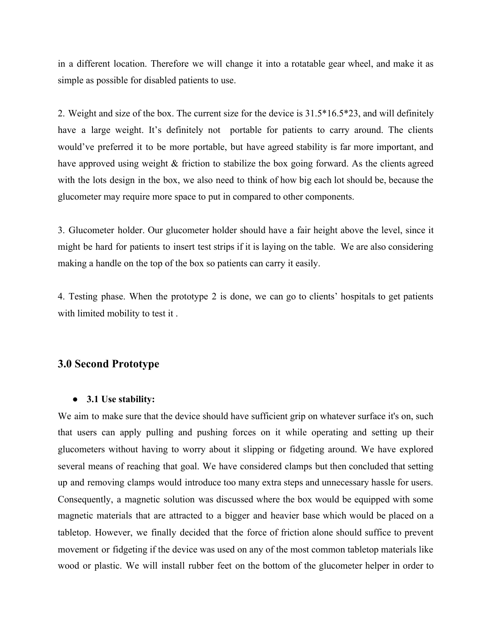in a different location. Therefore we will change it into a rotatable gear wheel, and make it as simple as possible for disabled patients to use.

2. Weight and size of the box. The current size for the device is 31.5\*16.5\*23, and will definitely have a large weight. It's definitely not portable for patients to carry around. The clients would've preferred it to be more portable, but have agreed stability is far more important, and have approved using weight & friction to stabilize the box going forward. As the clients agreed with the lots design in the box, we also need to think of how big each lot should be, because the glucometer may require more space to put in compared to other components.

3. Glucometer holder. Our glucometer holder should have a fair height above the level, since it might be hard for patients to insert test strips if it is laying on the table. We are also considering making a handle on the top of the box so patients can carry it easily.

4. Testing phase. When the prototype 2 is done, we can go to clients' hospitals to get patients with limited mobility to test it .

# **3.0 Second Prototype**

#### **● 3.1 Use stability:**

We aim to make sure that the device should have sufficient grip on whatever surface it's on, such that users can apply pulling and pushing forces on it while operating and setting up their glucometers without having to worry about it slipping or fidgeting around. We have explored several means of reaching that goal. We have considered clamps but then concluded that setting up and removing clamps would introduce too many extra steps and unnecessary hassle for users. Consequently, a magnetic solution was discussed where the box would be equipped with some magnetic materials that are attracted to a bigger and heavier base which would be placed on a tabletop. However, we finally decided that the force of friction alone should suffice to prevent movement or fidgeting if the device was used on any of the most common tabletop materials like wood or plastic. We will install rubber feet on the bottom of the glucometer helper in order to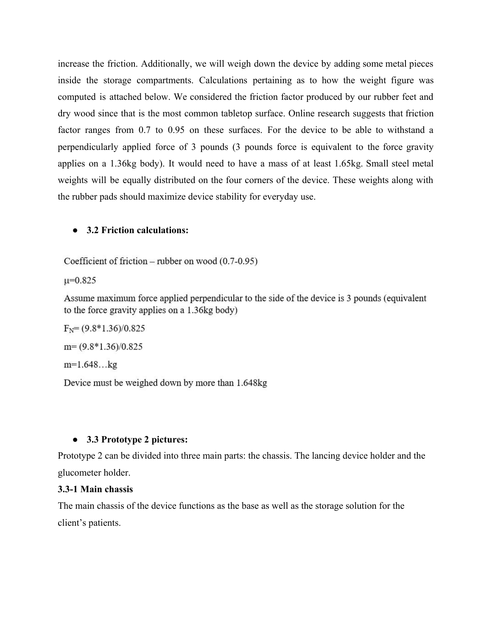increase the friction. Additionally, we will weigh down the device by adding some metal pieces inside the storage compartments. Calculations pertaining as to how the weight figure was computed is attached below. We considered the friction factor produced by our rubber feet and dry wood since that is the most common tabletop surface. Online research suggests that friction factor ranges from 0.7 to 0.95 on these surfaces. For the device to be able to withstand a perpendicularly applied force of 3 pounds (3 pounds force is equivalent to the force gravity applies on a 1.36kg body). It would need to have a mass of at least 1.65kg. Small steel metal weights will be equally distributed on the four corners of the device. These weights along with the rubber pads should maximize device stability for everyday use.

#### **● 3.2 Friction calculations:**

Coefficient of friction - rubber on wood (0.7-0.95)

 $u=0.825$ 

Assume maximum force applied perpendicular to the side of the device is 3 pounds (equivalent to the force gravity applies on a 1.36kg body)

 $F_N = (9.8*1.36)/0.825$  $m = (9.8*1.36)/0.825$  $m=1.648...kg$ 

Device must be weighed down by more than 1.648kg

## ● **3.3 Prototype 2 pictures:**

Prototype 2 can be divided into three main parts: the chassis. The lancing device holder and the glucometer holder.

## **3.3-1 Main chassis**

The main chassis of the device functions as the base as well as the storage solution for the client's patients.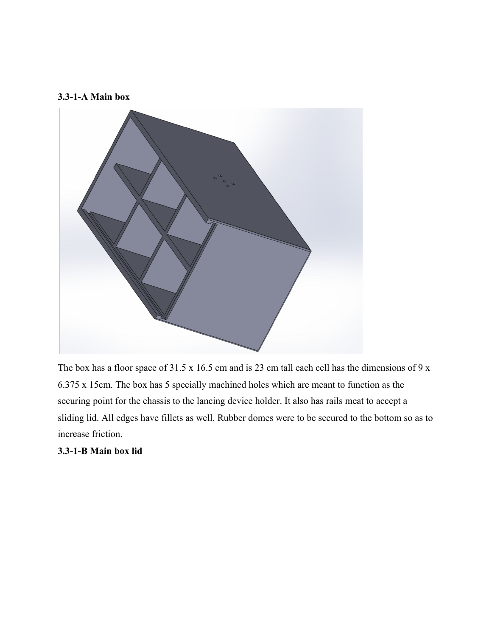#### **3.3-1-A Main box**



The box has a floor space of 31.5 x 16.5 cm and is 23 cm tall each cell has the dimensions of 9 x 6.375 x 15cm. The box has 5 specially machined holes which are meant to function as the securing point for the chassis to the lancing device holder. It also has rails meat to accept a sliding lid. All edges have fillets as well. Rubber domes were to be secured to the bottom so as to increase friction.

#### **3.3-1-B Main box lid**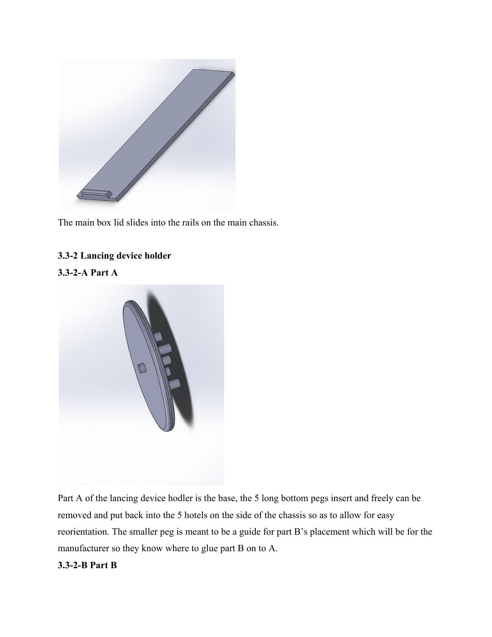

The main box lid slides into the rails on the main chassis.

## **3.3-2 Lancing device holder**

## **3.3-2-A Part A**



Part A of the lancing device hodler is the base, the 5 long bottom pegs insert and freely can be removed and put back into the 5 hotels on the side of the chassis so as to allow for easy reorientation. The smaller peg is meant to be a guide for part B's placement which will be for the manufacturer so they know where to glue part B on to A.

## **3.3-2-B Part B**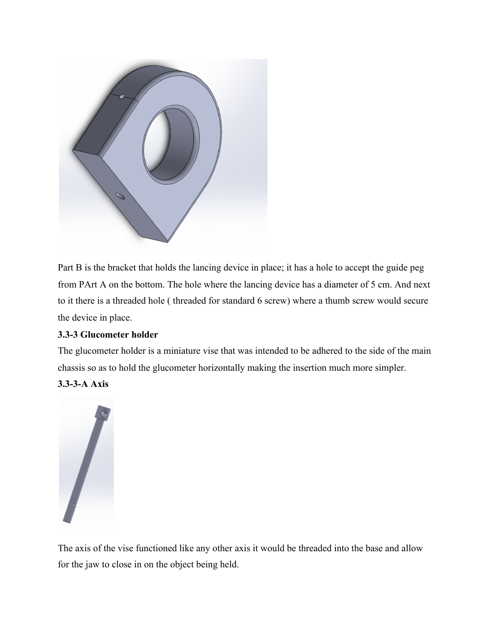

Part B is the bracket that holds the lancing device in place; it has a hole to accept the guide peg from PArt A on the bottom. The hole where the lancing device has a diameter of 5 cm. And next to it there is a threaded hole ( threaded for standard 6 screw) where a thumb screw would secure the device in place.

## **3.3-3 Glucometer holder**

The glucometer holder is a miniature vise that was intended to be adhered to the side of the main chassis so as to hold the glucometer horizontally making the insertion much more simpler.

## **3.3-3-A Axis**



The axis of the vise functioned like any other axis it would be threaded into the base and allow for the jaw to close in on the object being held.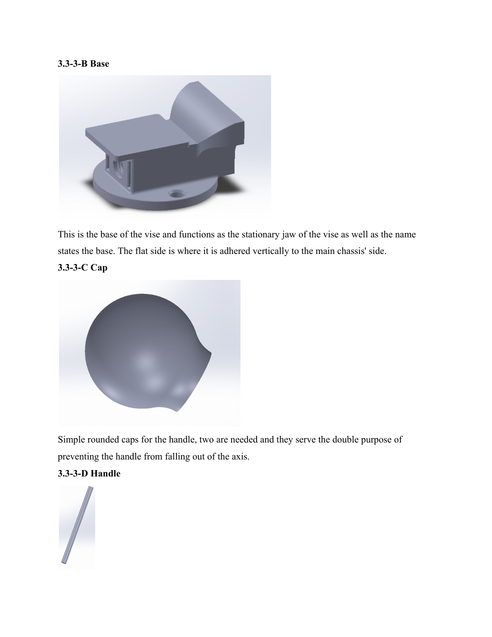### **3.3-3-B Base**



This is the base of the vise and functions as the stationary jaw of the vise as well as the name states the base. The flat side is where it is adhered vertically to the main chassis' side.

**3.3-3-C Cap**



Simple rounded caps for the handle, two are needed and they serve the double purpose of preventing the handle from falling out of the axis.

## **3.3-3-D Handle**

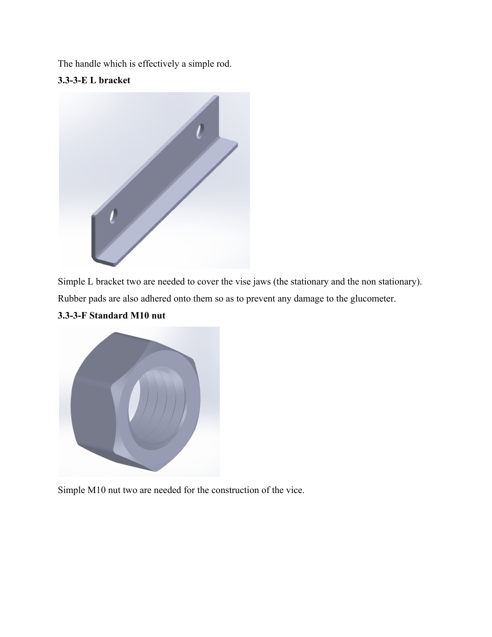The handle which is effectively a simple rod.

**3.3-3-E L bracket**



Simple L bracket two are needed to cover the vise jaws (the stationary and the non stationary).

Rubber pads are also adhered onto them so as to prevent any damage to the glucometer.



## **3.3-3-F Standard M10 nut**

Simple M10 nut two are needed for the construction of the vice.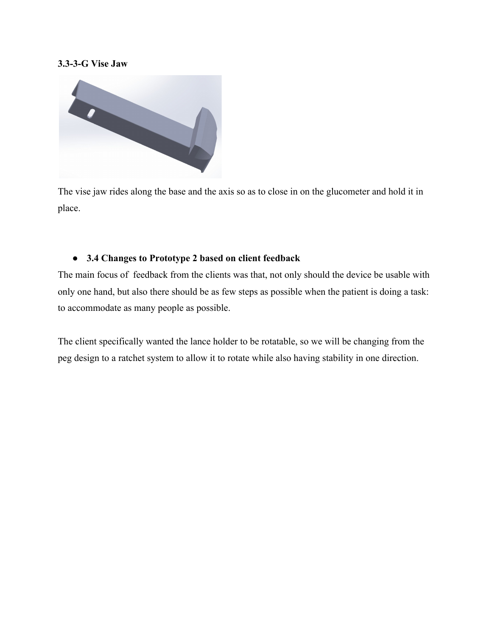#### **3.3-3-G Vise Jaw**



The vise jaw rides along the base and the axis so as to close in on the glucometer and hold it in place.

#### **● 3.4 Changes to Prototype 2 based on client feedback**

The main focus of feedback from the clients was that, not only should the device be usable with only one hand, but also there should be as few steps as possible when the patient is doing a task: to accommodate as many people as possible.

The client specifically wanted the lance holder to be rotatable, so we will be changing from the peg design to a ratchet system to allow it to rotate while also having stability in one direction.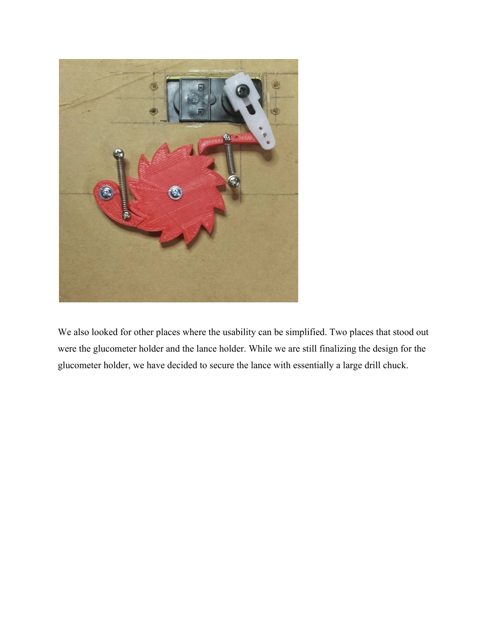

We also looked for other places where the usability can be simplified. Two places that stood out were the glucometer holder and the lance holder. While we are still finalizing the design for the glucometer holder, we have decided to secure the lance with essentially a large drill chuck.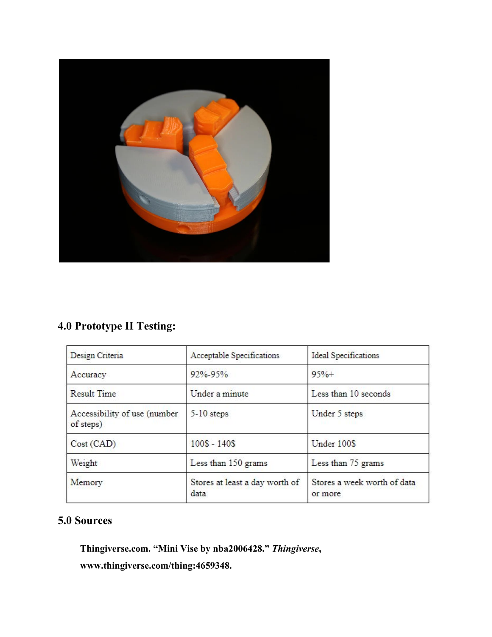

# **4.0 Prototype II Testing:**

| Design Criteria                           | Acceptable Specifications              | Ideal Specifications                   |
|-------------------------------------------|----------------------------------------|----------------------------------------|
| Accuracy                                  | 92%-95%                                | $95%+$                                 |
| <b>Result Time</b>                        | Under a minute                         | Less than 10 seconds                   |
| Accessibility of use (number<br>of steps) | $5-10$ steps                           | Under 5 steps                          |
| Cost (CAD)                                | $100S - 140S$                          | Under 100\$                            |
| Weight                                    | Less than 150 grams                    | Less than 75 grams                     |
| Memory                                    | Stores at least a day worth of<br>data | Stores a week worth of data<br>or more |

# **5.0 Sources**

**Thingiverse.com. "Mini Vise by nba2006428."** *Thingiverse***, www.thingiverse.com/thing:4659348.**